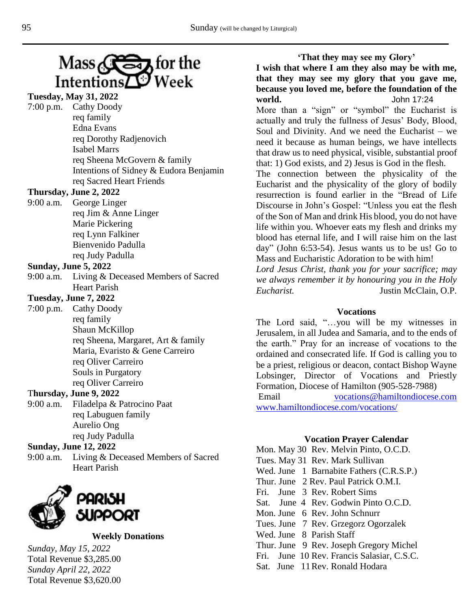

| <b>Tuesday, May 31, 2022</b> |                                        |
|------------------------------|----------------------------------------|
|                              | 7:00 p.m. Cathy Doody                  |
|                              | req family                             |
|                              | Edna Evans                             |
|                              | req Dorothy Radjenovich                |
|                              | <b>Isabel Marrs</b>                    |
|                              | req Sheena McGovern & family           |
|                              | Intentions of Sidney & Eudora Benjamin |
|                              | req Sacred Heart Friends               |

# **Thursday, June 2, 2022**

9:00 a.m. George Linger req Jim & Anne Linger Marie Pickering req Lynn Falkiner Bienvenido Padulla req Judy Padulla

## **Sunday, June 5, 2022**

9:00 a.m. Living & Deceased Members of Sacred Heart Parish

# **Tuesday, June 7, 2022**

7:00 p.m. Cathy Doody req family Shaun McKillop req Sheena, Margaret, Art & family Maria, Evaristo & Gene Carreiro req Oliver Carreiro Souls in Purgatory req Oliver Carreiro

# T**hursday, June 9, 2022**

9:00 a.m. Filadelpa & Patrocino Paat req Labuguen family Aurelio Ong req Judy Padulla

# **Sunday, June 12, 2022**

9:00 a.m. Living & Deceased Members of Sacred Heart Parish



## **Weekly Donations**

*Sunday, May 15, 2022* Total Revenue \$3,285.00 *Sunday April 22, 2022* Total Revenue \$3,620.00

**'That they may see my Glory' I wish that where I am they also may be with me, that they may see my glory that you gave me, because you loved me, before the foundation of the world.** John 17:24 More than a "sign" or "symbol" the Eucharist is actually and truly the fullness of Jesus' Body, Blood, Soul and Divinity. And we need the Eucharist – we need it because as human beings, we have intellects that draw us to need physical, visible, substantial proof that: 1) God exists, and 2) Jesus is God in the flesh. The connection between the physicality of the Eucharist and the physicality of the glory of bodily

resurrection is found earlier in the "Bread of Life Discourse in John's Gospel: "Unless you eat the flesh of the Son of Man and drink His blood, you do not have life within you. Whoever eats my flesh and drinks my blood has eternal life, and I will raise him on the last day" (John 6:53-54). Jesus wants us to be us! Go to Mass and Eucharistic Adoration to be with him!

*Lord Jesus Christ, thank you for your sacrifice; may we always remember it by honouring you in the Holy Eucharist.* Justin McClain, O.P.

#### **Vocations**

The Lord said, "…you will be my witnesses in Jerusalem, in all Judea and Samaria, and to the ends of the earth." Pray for an increase of vocations to the ordained and consecrated life. If God is calling you to be a priest, religious or deacon, contact Bishop Wayne Lobsinger, Director of Vocations and Priestly Formation, Diocese of Hamilton (905-528-7988)

Email [vocations@hamiltondiocese.com](mailto:vocations@hamiltondiocese.com)  [www.hamiltondiocese.com/vocations/](http://www.hamiltondiocese.com/vocations/)

#### **Vocation Prayer Calendar**

Mon. May 30 Rev. Melvin Pinto, O.C.D. Tues. May 31 Rev. Mark Sullivan Wed. June 1 Barnabite Fathers (C.R.S.P.) Thur. June 2 Rev. Paul Patrick O.M.I. Fri. June 3 Rev. Robert Sims Sat. June 4 Rev. Godwin Pinto O.C.D. Mon. June 6 Rev. John Schnurr Tues. June 7 Rev. Grzegorz Ogorzalek Wed. June 8 Parish Staff Thur. June 9 Rev. Joseph Gregory Michel Fri. June 10 Rev. Francis Salasiar, C.S.C. Sat. June 11Rev. Ronald Hodara